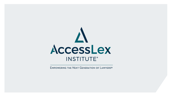

**EMPOWERING THE NEXT GENERATION OF LAWYERS®**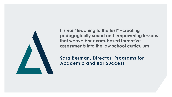

**It's** *not* **"teaching to the test" –creating pedagogically sound and empowering lessons that weave bar exam-based formative assessments into the law school curriculum**

**Sara Berman, Director, Programs for Academic and Bar Success**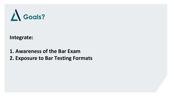

**Integrate:**

**1. Awareness of the Bar Exam 2. Exposure to Bar Testing Formats**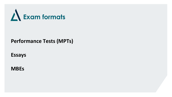

#### **Performance Tests (MPTs)**

**Essays**

**MBEs**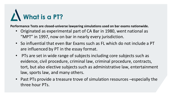

**Performance Tests are closed-universe lawyering simulations used on bar exams nationwide.** 

- Originated as experimental part of CA Bar in 1980, went national as "MPT" in 1997, now on bar in nearly every jurisdiction.
- So influential that even Bar Exams such as FL which do not include a PT are influenced by PT in the essay format.
- PTs are set in wide range of subjects including core subjects such as evidence, civil procedure, criminal law, criminal procedure, contracts, tort, but also elective subjects such as administrative law, entertainment law, sports law, and many others.
- Past PTs provide a treasure trove of simulation resources –especially the three hour PTs.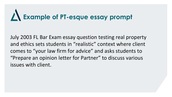### **Example of PT-esque essay prompt**

July 2003 FL Bar Exam essay question testing real property and ethics sets students in "realistic" context where client comes to "your law firm for advice" and asks students to "Prepare an opinion letter for Partner" to discuss various issues with client.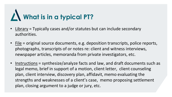### **What is in a typical PT?**

- Library = Typically cases and/or statutes but can include secondary authorities.
- File = original source documents, e.g. deposition transcripts, police reports, photographs, transcripts of or notes re: client and witness interviews, newspaper articles, memoranda from private investigators, etc.
- Instructions = synthesize/analyze facts and law, and draft documents such as legal memo, brief in support of a motion, client letter, client counseling plan, client interview, discovery plan, affidavit, memo evaluating the strengths and weaknesses of a client's case, memo proposing settlement plan, closing argument to a judge or jury, etc.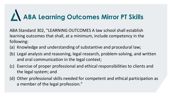### **ABA Learning Outcomes Mirror PT Skills**

ABA Standard 302, "LEARNING OUTCOMES A law school shall establish learning outcomes that shall, at a minimum, include competency in the following:

- (a) Knowledge and understanding of substantive and procedural law;
- (b) Legal analysis and reasoning, legal research, problem-solving, and written and oral communication in the legal context;
- (c) Exercise of proper professional and ethical responsibilities to clients and the legal system; and
- (d) Other professional skills needed for competent and ethical participation as a member of the legal profession."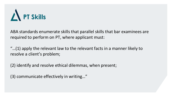

ABA standards enumerate skills that parallel skills that bar examinees are required to perform on PT, where applicant must:

 $\ldots$ (1) apply the relevant law to the relevant facts in a manner likely to resolve a client's problem;

(2) identify and resolve ethical dilemmas, when present;

(3) communicate effectively in writing…"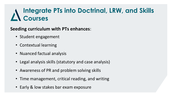### **Integrate PTs into Doctrinal, LRW, and Skills Courses**

#### **Seeding curriculum with PTs enhances**:

- Student engagement
- Contextual learning
- Nuanced factual analysis
- Legal analysis skills (statutory and case analysis)
- Awareness of PR and problem solving skills
- Time management, critical reading, and writing
- Early & low stakes bar exam exposure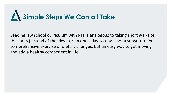### **Simple Steps We Can all Take**

Seeding law school curriculum with PTs is analogous to taking short walks or the stairs (instead of the elevator) in one's day-to-day – not a substitute for comprehensive exercise or dietary changes, but an easy way to get moving and add a healthy component in life.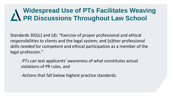### **Widespread Use of PTs Facilitates Weaving PR Discussions Throughout Law School**

Standards 302(c) and (d): "Exercise of proper professional and ethical responsibilities to clients and the legal system; and [o]ther professional skills needed for competent and ethical participation as a member of the legal profession."

-PTs can test applicants' awareness of what constitutes actual violations of PR rules, and

-Actions that fall below highest practice standards.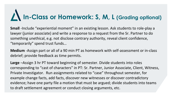### **In-Class or Homework: S, M, L (Grading optional)**

**Small** -Include "experiential moment" in an existing lesson. Ask students to role-play a lawyer (junior associate) and write a response to a request from the Sr. Partner to do something unethical, e.g. not disclose contrary authority, reveal client confidence, "temporarily" spend trust funds…

**Medium** -Assign part or all of a 90 min PT as homework with self-assessment or in-class debrief; provide feedback as time permits.

**Large** –Assign 3 hr PT toward beginning of semester. Divide students into roles corresponding to "cast of characters" in PT: Sr. Partner, Junior Associate, Client, Witness, Private Investigator. Run assignments related to "case" throughout semester, for example change facts, add facts, discover new witnesses or discover contradictory evidence; have one party file a motion that must be argued; divide students into teams to draft settlement agreement or conduct closing arguments, etc.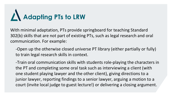# **Adapting PTs to LRW**

With minimal adaptation, PTs provide springboard for teaching Standard 302(b) skills that are not part of existing PTs, such as legal research and oral communication. For example:

-Open up the otherwise closed universe PT library (either partially or fully) to train legal research skills in context.

-Train oral communication skills with students role-playing the characters in the PT and completing some oral task such as interviewing a client (with one student playing lawyer and the other client), giving directions to a junior lawyer, reporting findings to a senior lawyer, arguing a motion to a court (invite local judge to guest lecture!) or delivering a closing argument.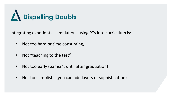

Integrating experiential simulations using PTs into curriculum is:

- Not too hard or time consuming,
- Not "teaching to the test"
- Not too early (bar isn't until after graduation)
- Not too simplistic (you can add layers of sophistication)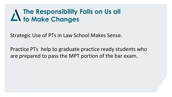### **The Responsibility Falls on Us all to Make Changes**

Strategic Use of PTs in Law School Makes Sense.

Practice PTs help to graduate practice ready students who are prepared to pass the MPT portion of the bar exam.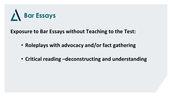

**Exposure to Bar Essays without Teaching to the Test:**

- **Roleplays with advocacy and/or fact gathering**
- **Critical reading –deconstructing and understanding**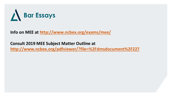

**Info on MEE at<http://www.ncbex.org/exams/mee/>**

**Consult 2019 MEE Subject Matter Outline at <http://www.ncbex.org/pdfviewer/?file=%2Fdmsdocument%2F227>**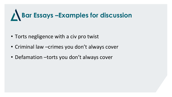### **Bar Essays –Examples for discussion**

- Torts negligence with a civ pro twist
- Criminal law –crimes you don't always cover
- Defamation –torts you don't always cover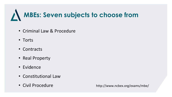# **MBEs: Seven subjects to choose from**

- Criminal Law & Procedure
- Torts
- Contracts
- Real Property
- Evidence
- Constitutional Law
- 

• Civil Procedure http://www.ncbex.org/exams/mbe/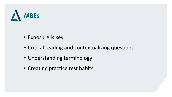![](_page_20_Picture_0.jpeg)

- Exposure is key
- Critical reading and contextualizing questions
- Understanding terminology
- Creating practice test habits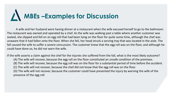### **MBEs –Examples for Discussion**

A wife and her husband were having dinner at a restaurant when the wife excused herself to go to the bathroom. The restaurant was owned and operated by a chef. As the wife was walking past a table where another customer was seated, she slipped and fell on an egg roll that had been lying on the floor for quite some time, although the chef was unaware that it had fallen onto the floor. When she fell, her head struck a serving tray that was located in the aisle. The fall caused the wife to suffer a severe concussion. The customer knew that the egg roll was on the floor, and although he could have done so, he did not warn the wife.

If the wife asserts a claim against the chef for the injuries she suffered from the fall, what is the most likely outcome? (A) The wife will recover, because the egg roll on the floor constituted an unsafe condition of the premises. (B) The wife will recover, because the egg roll was on the floor for a substantial period of time before the accident. (C) The wife will not recover, because the chef did not know that the egg roll was on the floor. (D) The wife will not recover, because the customer could have prevented the injury by warning the wife of the presence of the egg roll.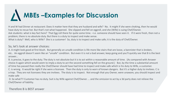![](_page_22_Picture_0.jpeg)

H and W had Dinner at restaurant: Does it matter here that they are husband and wife? No. It might if she were choking, then he would have duty to recue her. But that's not what happened. She slipped and fell on eggroll, and she (Wife) is suing Chef/Owner. Ask students: what is key fact here? That Egg roll there for quite some time. –i.e. someone should have seen it. If it were fresh, then not a problem; there is no absolute duty. But there is a duty to inspect and make sense.

What is duty? Well, who is Wife? She is a customer! So, duty is to inspect and make safe; it is the duty of Chef/Owner.

#### So, let's look at answer choices:

A. A might look good at first blush. But generally an unsafe condition is life more like stairs that are loose, a bannister that is broken, etc.. An eggroll doesn't seem like an "unsafe" condition. But even it is not a bad answer, keep going and you'll quickly see that B is the best answer...

B. is precise, it goes to the duty. The duty is not absolute but it is to act within a reasonable amount of time. (As compared with Answer choice A again which would seem to imply a duty to act the second something fell on the ground.) But, by the time a substantial amount of time has passed then really the Chef/Owner should have had time to inspect and make safe which is his duty to Wife, a customer. C. is wrong. It would be right if she were a licensee. Then the duty is only to warn of known dangers. But it's a higher duty to invitees. C is a trap. They are not licensees they are invitees. The duty is to inspect. Not enough that you Owner, were unaware, you should inspect and make safe

D. So what?!! Customer has no duty. Suit is by Wife against Chef/Owner. … and the omission to act by a 3d party does not relieve the Chef/Owner of liability.

Therefore B is BEST answer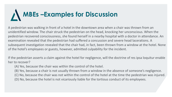# **MBEs –Examples for Discussion**

A pedestrian was walking in front of a hotel in the downtown area when a chair was thrown from an unidentified window. The chair struck the pedestrian on the head, knocking her unconscious. When the pedestrian recovered consciousness, she found herself in a nearby hospital with a doctor in attendance. An examination revealed that the pedestrian had suffered a concussion and severe head lacerations. A subsequent investigation revealed that the chair had, in fact, been thrown from a window at the hotel. None of the hotel's employees or guests, however, admitted culpability for the incident.

If the pedestrian asserts a claim against the hotel for negligence, will the doctrine of res ipsa loquitur enable her to recover?

- (A) Yes, because the chair was within the control of the hotel.
- (B) Yes, because a chair is not usually thrown from a window in the absence of someone's negligence.
- (C) No, because the chair was not within the control of the hotel at the time the pedestrian was injured.
- (D) No, because the hotel is not vicariously liable for the tortious conduct of its employees.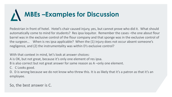# **MBEs –Examples for Discussion**

Pedestrian in front of hotel. Hotel's chair caused injury, yes, but cannot prove who did it. What should automatically come to mind for students? Res ipsa loquitor. Remember the cases –the one about flour barrel was in the exclusive control of the flour company and that sponge was in the exclusive control of the surgeon… When is res ipsa applicable? When the (1) injury does not occur absent someone's negligence, and (2) the instrumentality was within D's exclusive control?

With that context in mind, let's look at answer choices:

A is OK, but not great, because it's only one element of res ipsa.

B is also correct but not great answer for same reason as A –only one element.

C. C Looks good.

D. D is wrong because we do not know who threw this. It is as likely that it's a patron as that it's an employee.

So, the best answer is C.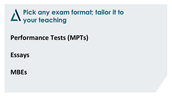### **Pick any exam format; tailor it to your teaching**

#### **Performance Tests (MPTs)**

**Essays**

#### **MBEs**